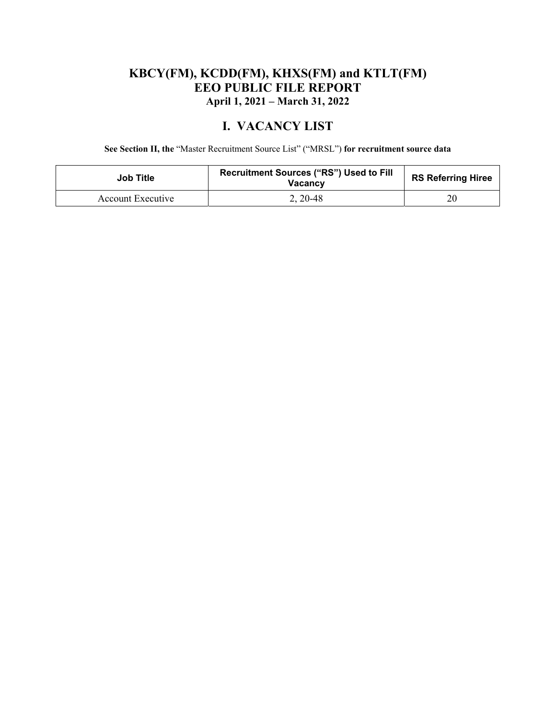## **KBCY(FM), KCDD(FM), KHXS(FM) and KTLT(FM) EEO PUBLIC FILE REPORT April 1, 2021 – March 31, 2022**

## **I. VACANCY LIST**

**See Section II, the** "Master Recruitment Source List" ("MRSL") **for recruitment source data** 

| <b>Job Title</b>  | <b>Recruitment Sources ("RS") Used to Fill</b><br><b>Vacancy</b> | <b>RS Referring Hiree</b> |
|-------------------|------------------------------------------------------------------|---------------------------|
| Account Executive | $2, 20-48$                                                       | 20                        |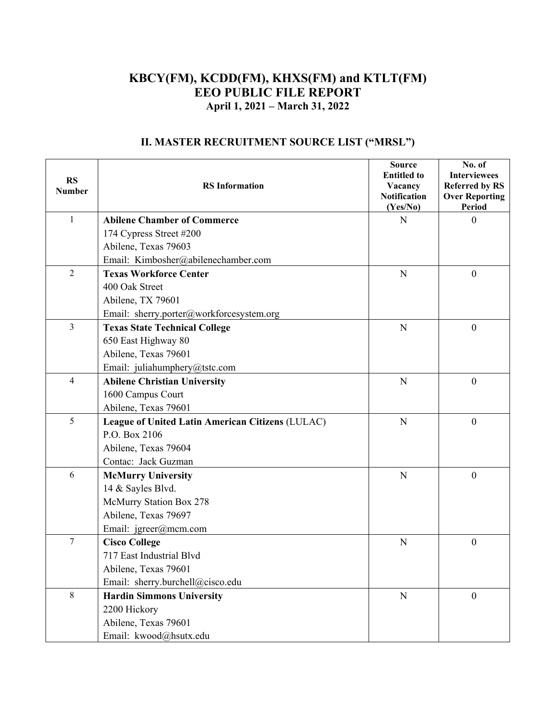### **KBCY(FM), KCDD(FM), KHXS(FM) and KTLT(FM) EEO PUBLIC FILE REPORT April 1, 2021 – March 31, 2022**

| <b>RS</b><br><b>Number</b> | <b>RS</b> Information                            | <b>Source</b><br><b>Entitled to</b><br>Vacancy<br><b>Notification</b><br>(Yes/No) | No. of<br><b>Interviewees</b><br><b>Referred by RS</b><br><b>Over Reporting</b><br>Period |
|----------------------------|--------------------------------------------------|-----------------------------------------------------------------------------------|-------------------------------------------------------------------------------------------|
| $\mathbf{1}$               | <b>Abilene Chamber of Commerce</b>               | N                                                                                 | $\theta$                                                                                  |
|                            | 174 Cypress Street #200                          |                                                                                   |                                                                                           |
|                            | Abilene, Texas 79603                             |                                                                                   |                                                                                           |
|                            | Email: Kimbosher@abilenechamber.com              |                                                                                   |                                                                                           |
| $\overline{2}$             | <b>Texas Workforce Center</b>                    | N                                                                                 | $\boldsymbol{0}$                                                                          |
|                            | 400 Oak Street                                   |                                                                                   |                                                                                           |
|                            | Abilene, TX 79601                                |                                                                                   |                                                                                           |
|                            | Email: sherry.porter@workforcesystem.org         |                                                                                   |                                                                                           |
| $\overline{3}$             | <b>Texas State Technical College</b>             | ${\bf N}$                                                                         | $\mathbf{0}$                                                                              |
|                            | 650 East Highway 80                              |                                                                                   |                                                                                           |
|                            | Abilene, Texas 79601                             |                                                                                   |                                                                                           |
|                            | Email: juliahumphery@tstc.com                    |                                                                                   |                                                                                           |
| $\overline{4}$             | <b>Abilene Christian University</b>              | $\mathbf N$                                                                       | $\overline{0}$                                                                            |
|                            | 1600 Campus Court                                |                                                                                   |                                                                                           |
|                            | Abilene, Texas 79601                             |                                                                                   |                                                                                           |
| 5                          | League of United Latin American Citizens (LULAC) | $\mathbf N$                                                                       | $\overline{0}$                                                                            |
|                            | P.O. Box 2106                                    |                                                                                   |                                                                                           |
|                            | Abilene, Texas 79604                             |                                                                                   |                                                                                           |
|                            | Contac: Jack Guzman                              |                                                                                   |                                                                                           |
| 6                          | <b>McMurry University</b>                        | N                                                                                 | $\overline{0}$                                                                            |
|                            | 14 & Sayles Blvd.                                |                                                                                   |                                                                                           |
|                            | McMurry Station Box 278                          |                                                                                   |                                                                                           |
|                            | Abilene, Texas 79697                             |                                                                                   |                                                                                           |
|                            | Email: jgreer@mcm.com                            |                                                                                   |                                                                                           |
| $\overline{7}$             | <b>Cisco College</b>                             | N                                                                                 | $\boldsymbol{0}$                                                                          |
|                            | 717 East Industrial Blvd                         |                                                                                   |                                                                                           |
|                            | Abilene, Texas 79601                             |                                                                                   |                                                                                           |
|                            | Email: sherry.burchell@cisco.edu                 |                                                                                   |                                                                                           |
| $\,8\,$                    | <b>Hardin Simmons University</b>                 | ${\bf N}$                                                                         | $\overline{0}$                                                                            |
|                            | 2200 Hickory                                     |                                                                                   |                                                                                           |
|                            | Abilene, Texas 79601                             |                                                                                   |                                                                                           |
|                            | Email: kwood@hsutx.edu                           |                                                                                   |                                                                                           |

# **II. MASTER RECRUITMENT SOURCE LIST ("MRSL")**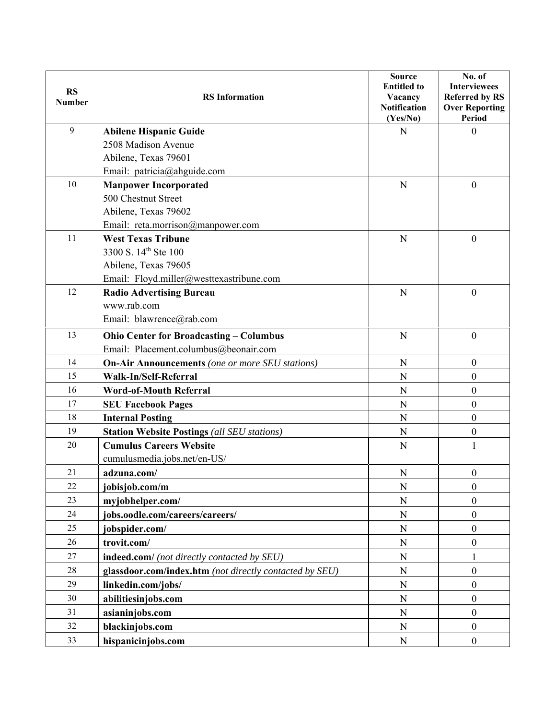| <b>RS</b><br><b>Number</b> | <b>RS</b> Information                                   | <b>Source</b><br><b>Entitled to</b><br>Vacancy<br><b>Notification</b><br>(Yes/No) | No. of<br><b>Interviewees</b><br><b>Referred by RS</b><br><b>Over Reporting</b><br><b>Period</b> |
|----------------------------|---------------------------------------------------------|-----------------------------------------------------------------------------------|--------------------------------------------------------------------------------------------------|
| 9                          | <b>Abilene Hispanic Guide</b>                           | $\mathbf N$                                                                       | $\mathbf{0}$                                                                                     |
|                            | 2508 Madison Avenue                                     |                                                                                   |                                                                                                  |
|                            | Abilene, Texas 79601                                    |                                                                                   |                                                                                                  |
|                            | Email: patricia@ahguide.com                             |                                                                                   |                                                                                                  |
| 10                         | <b>Manpower Incorporated</b>                            | $\mathbf N$                                                                       | $\boldsymbol{0}$                                                                                 |
|                            | 500 Chestnut Street                                     |                                                                                   |                                                                                                  |
|                            | Abilene, Texas 79602                                    |                                                                                   |                                                                                                  |
|                            | Email: reta.morrison@manpower.com                       |                                                                                   |                                                                                                  |
| 11                         | <b>West Texas Tribune</b>                               | $\mathbf N$                                                                       | $\overline{0}$                                                                                   |
|                            | 3300 S. 14 <sup>th</sup> Ste 100                        |                                                                                   |                                                                                                  |
|                            | Abilene, Texas 79605                                    |                                                                                   |                                                                                                  |
|                            | Email: Floyd.miller@westtexastribune.com                |                                                                                   |                                                                                                  |
| 12                         | <b>Radio Advertising Bureau</b>                         | $\mathbf N$                                                                       | $\overline{0}$                                                                                   |
|                            | www.rab.com                                             |                                                                                   |                                                                                                  |
|                            | Email: blawrence@rab.com                                |                                                                                   |                                                                                                  |
| 13                         | <b>Ohio Center for Broadcasting - Columbus</b>          | $\mathbf N$                                                                       | $\mathbf{0}$                                                                                     |
|                            | Email: Placement.columbus@beonair.com                   |                                                                                   |                                                                                                  |
| 14                         | <b>On-Air Announcements</b> (one or more SEU stations)  | $\mathbf N$                                                                       | $\boldsymbol{0}$                                                                                 |
| 15                         | Walk-In/Self-Referral                                   | $\mathbf N$                                                                       | $\mathbf{0}$                                                                                     |
| 16                         | <b>Word-of-Mouth Referral</b>                           | ${\bf N}$                                                                         | $\mathbf{0}$                                                                                     |
| 17                         | <b>SEU Facebook Pages</b>                               | $\mathbf N$                                                                       | $\boldsymbol{0}$                                                                                 |
| 18                         | <b>Internal Posting</b>                                 | N                                                                                 | $\boldsymbol{0}$                                                                                 |
| 19                         | <b>Station Website Postings (all SEU stations)</b>      | N                                                                                 | $\boldsymbol{0}$                                                                                 |
| 20                         | <b>Cumulus Careers Website</b>                          | N                                                                                 | $\mathbf{1}$                                                                                     |
|                            | cumulusmedia.jobs.net/en-US/                            |                                                                                   |                                                                                                  |
| 21                         | adzuna.com/                                             | N                                                                                 | $\mathbf{0}$                                                                                     |
| 22                         | jobisjob.com/m                                          | ${\bf N}$                                                                         | $\boldsymbol{0}$                                                                                 |
| 23                         | myjobhelper.com/                                        | ${\bf N}$                                                                         | $\boldsymbol{0}$                                                                                 |
| 24                         | jobs.oodle.com/careers/careers/                         | ${\bf N}$                                                                         | $\boldsymbol{0}$                                                                                 |
| 25                         | jobspider.com/                                          | ${\bf N}$                                                                         | $\mathbf{0}$                                                                                     |
| 26                         | trovit.com/                                             | N                                                                                 | $\boldsymbol{0}$                                                                                 |
| 27                         | indeed.com/ (not directly contacted by SEU)             | ${\bf N}$                                                                         | 1                                                                                                |
| 28                         | glassdoor.com/index.htm (not directly contacted by SEU) | ${\bf N}$                                                                         | $\boldsymbol{0}$                                                                                 |
| 29                         | linkedin.com/jobs/                                      | ${\bf N}$                                                                         | $\mathbf{0}$                                                                                     |
| 30                         | abilitiesinjobs.com                                     | ${\bf N}$                                                                         | $\boldsymbol{0}$                                                                                 |
| 31                         | asianinjobs.com                                         | N                                                                                 | $\boldsymbol{0}$                                                                                 |
| 32                         | blackinjobs.com                                         | ${\bf N}$                                                                         | $\mathbf{0}$                                                                                     |
| 33                         | hispanicinjobs.com                                      | ${\bf N}$                                                                         | $\boldsymbol{0}$                                                                                 |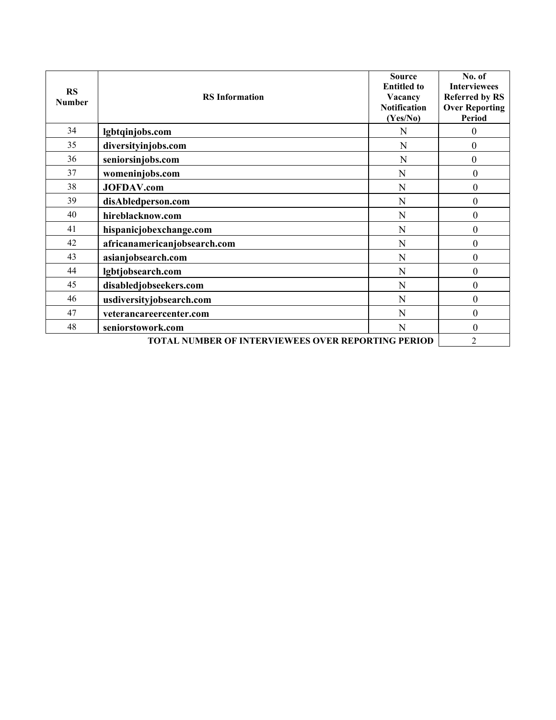| <b>RS</b><br><b>Number</b>                                | <b>RS</b> Information        | <b>Source</b><br><b>Entitled to</b><br>Vacancy<br><b>Notification</b><br>(Yes/No) | No. of<br><b>Interviewees</b><br><b>Referred by RS</b><br><b>Over Reporting</b><br><b>Period</b> |
|-----------------------------------------------------------|------------------------------|-----------------------------------------------------------------------------------|--------------------------------------------------------------------------------------------------|
| 34                                                        | lgbtqinjobs.com              | N                                                                                 | $\theta$                                                                                         |
| 35                                                        | diversityinjobs.com          | N                                                                                 | $\theta$                                                                                         |
| 36                                                        | seniorsinjobs.com            | N                                                                                 | $\theta$                                                                                         |
| 37                                                        | womeninjobs.com              | N                                                                                 | $\theta$                                                                                         |
| 38                                                        | <b>JOFDAV.com</b>            | N                                                                                 | $\boldsymbol{0}$                                                                                 |
| 39                                                        | disAbledperson.com           | N                                                                                 | $\boldsymbol{0}$                                                                                 |
| 40                                                        | hireblacknow.com             | N                                                                                 | 0                                                                                                |
| 41                                                        | hispanicjobexchange.com      | N                                                                                 | $\boldsymbol{0}$                                                                                 |
| 42                                                        | africanamericanjobsearch.com | N                                                                                 | $\boldsymbol{0}$                                                                                 |
| 43                                                        | asianjobsearch.com           | N                                                                                 | $\boldsymbol{0}$                                                                                 |
| 44                                                        | lgbtjobsearch.com            | N                                                                                 | $\boldsymbol{0}$                                                                                 |
| 45                                                        | disabledjobseekers.com       | N                                                                                 | $\mathbf{0}$                                                                                     |
| 46                                                        | usdiversityjobsearch.com     | N                                                                                 | $\mathbf{0}$                                                                                     |
| 47                                                        | veterancareercenter.com      | N                                                                                 | $\boldsymbol{0}$                                                                                 |
| 48                                                        | seniorstowork.com            | N                                                                                 | $\boldsymbol{0}$                                                                                 |
| <b>TOTAL NUMBER OF INTERVIEWEES OVER REPORTING PERIOD</b> |                              |                                                                                   | 2                                                                                                |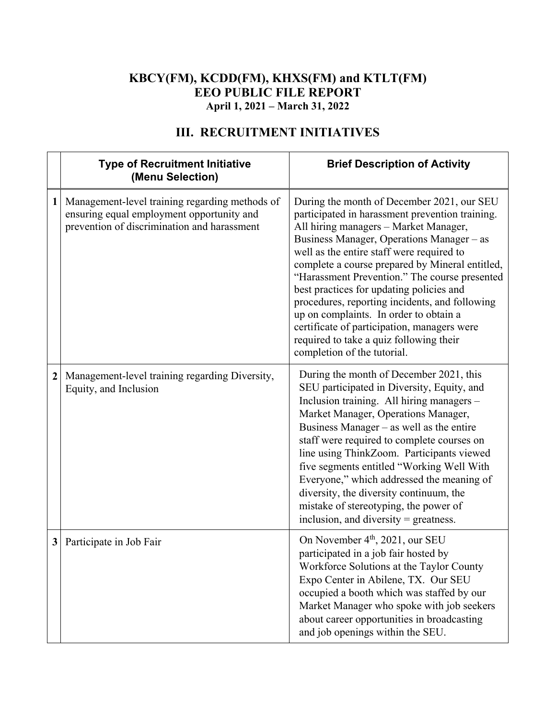### **KBCY(FM), KCDD(FM), KHXS(FM) and KTLT(FM) EEO PUBLIC FILE REPORT April 1, 2021 – March 31, 2022**

|                  | <b>Type of Recruitment Initiative</b><br>(Menu Selection)                                                                                  | <b>Brief Description of Activity</b>                                                                                                                                                                                                                                                                                                                                                                                                                                                                                                                                                                  |
|------------------|--------------------------------------------------------------------------------------------------------------------------------------------|-------------------------------------------------------------------------------------------------------------------------------------------------------------------------------------------------------------------------------------------------------------------------------------------------------------------------------------------------------------------------------------------------------------------------------------------------------------------------------------------------------------------------------------------------------------------------------------------------------|
| 1                | Management-level training regarding methods of<br>ensuring equal employment opportunity and<br>prevention of discrimination and harassment | During the month of December 2021, our SEU<br>participated in harassment prevention training.<br>All hiring managers - Market Manager,<br>Business Manager, Operations Manager - as<br>well as the entire staff were required to<br>complete a course prepared by Mineral entitled,<br>"Harassment Prevention." The course presented<br>best practices for updating policies and<br>procedures, reporting incidents, and following<br>up on complaints. In order to obtain a<br>certificate of participation, managers were<br>required to take a quiz following their<br>completion of the tutorial. |
| $\boldsymbol{2}$ | Management-level training regarding Diversity,<br>Equity, and Inclusion                                                                    | During the month of December 2021, this<br>SEU participated in Diversity, Equity, and<br>Inclusion training. All hiring managers -<br>Market Manager, Operations Manager,<br>Business Manager – as well as the entire<br>staff were required to complete courses on<br>line using ThinkZoom. Participants viewed<br>five segments entitled "Working Well With<br>Everyone," which addressed the meaning of<br>diversity, the diversity continuum, the<br>mistake of stereotyping, the power of<br>inclusion, and diversity = greatness.                                                               |
| 3                | Participate in Job Fair                                                                                                                    | On November 4 <sup>th</sup> , 2021, our SEU<br>participated in a job fair hosted by<br>Workforce Solutions at the Taylor County<br>Expo Center in Abilene, TX. Our SEU<br>occupied a booth which was staffed by our<br>Market Manager who spoke with job seekers<br>about career opportunities in broadcasting<br>and job openings within the SEU.                                                                                                                                                                                                                                                    |

# **III. RECRUITMENT INITIATIVES**